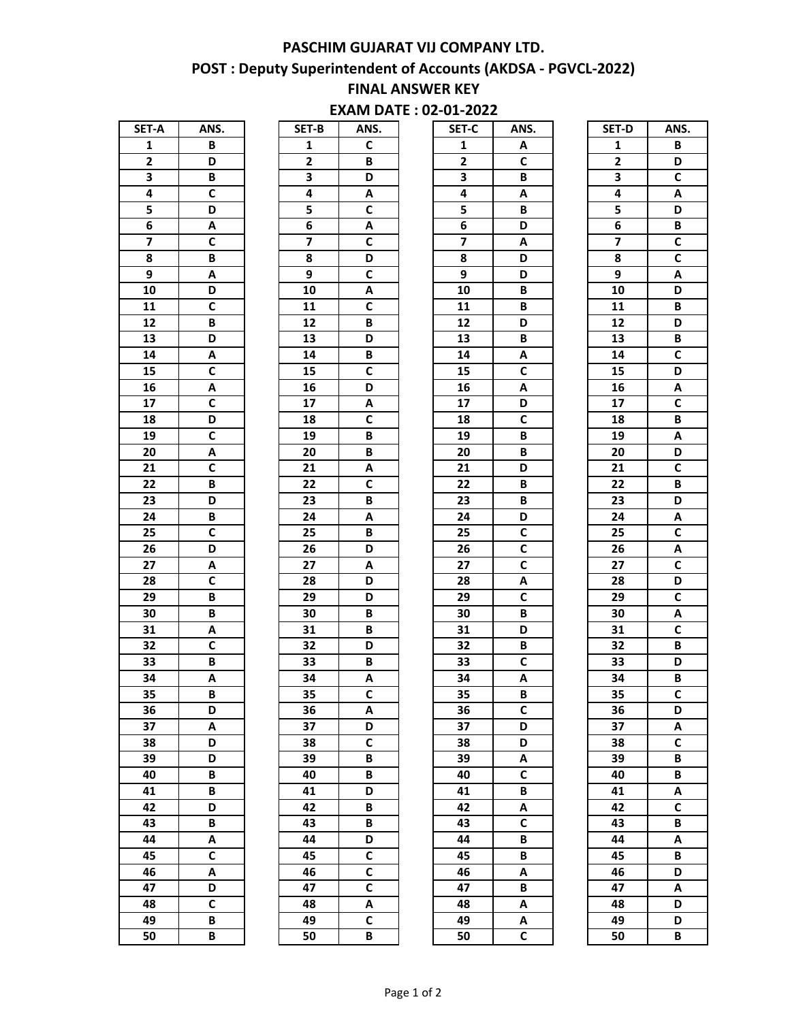#### **PASCHIM GUJARAT VIJ COMPANY LTD.**

## **POST : Deputy Superintendent of Accounts (AKDSA - PGVCL-2022)**

## **FINAL ANSWER KEY**

## **EXAM DATE : 02-01-2022**

| SET-A                   | ANS.                    |
|-------------------------|-------------------------|
| 1                       | B                       |
| $\overline{\mathbf{c}}$ | D                       |
| 3                       | B                       |
| 4                       | $\overline{\mathsf{c}}$ |
| 5                       | $\overline{D}$          |
| 6                       | Ā                       |
| 7                       | C                       |
| 8                       | B                       |
| 9                       | A                       |
| 10                      | D                       |
| 11                      | C                       |
| $\overline{12}$         | B                       |
| $\overline{13}$         | D                       |
| $\overline{14}$         | A                       |
| $\overline{15}$         | $\overline{\mathsf{c}}$ |
| 16                      | Ā                       |
| 17                      | $\overline{c}$          |
|                         | D                       |
| 18                      |                         |
| 19                      | C                       |
| 20                      | A                       |
| $\overline{21}$         | $\overline{\mathsf{c}}$ |
| 22                      | B                       |
| 23                      | D                       |
| $\overline{24}$         | B                       |
| 25                      | $\overline{c}$          |
| 26                      | D                       |
| $\overline{27}$         | A                       |
| 28                      | $\overline{c}$          |
| $\overline{29}$         | B                       |
| 30                      | B                       |
| 31                      | A                       |
| 32                      | C                       |
| 33                      | $\overline{\mathbf{B}}$ |
| 34                      | A                       |
| 35                      | Ŗ                       |
| 36                      | D                       |
| 37                      | Α                       |
| 38                      | D                       |
| 39                      | D                       |
| 40                      | B                       |
| 41                      | B                       |
| 42                      | D                       |
|                         |                         |
| 43                      | B                       |
| 44                      | Α                       |
| 45                      | C                       |
| 46                      | Α                       |
| 47                      | D                       |
| 48                      | $\overline{\mathsf{c}}$ |
| 49                      | B                       |
| 50                      | B                       |

| SET-B           | ANS.           |
|-----------------|----------------|
| $\mathbf{1}$    | C              |
| $\overline{2}$  | B              |
| 3               | D              |
| 4               | Α              |
| 5               | C              |
| 6               | A              |
| 7               | $\overline{c}$ |
| 8               | D              |
| 9               | C              |
| 10              | A              |
| 11              | $\mathbf c$    |
| $\overline{12}$ | B              |
| 13              | D              |
| 14              | B              |
| 15              | $\bar{c}$      |
| 16              | D              |
| 17              | A              |
| 18              | C              |
| 19              | B              |
| 20              | B              |
| 21              | A              |
| $\overline{2}2$ | C              |
| 23              | B              |
| 24              | A              |
| 25              | B              |
| 26              | D              |
| <b>27</b>       | Α              |
| 28              | D              |
| 29              | D              |
| 30              | B              |
| 31              | B              |
| 32              | D              |
| 33              | B              |
| 34              | Α              |
| 35              | C              |
| 36              | Α              |
| 37              | D              |
| 38              | C              |
| 39              | B              |
| 40              | B              |
| 41              | D              |
| 42              | B              |
| 43              | B              |
| 44              | D              |
| 45              | C              |
| 46              | C              |
| 47              | C              |
| 48              | Α              |
| 49              | $\bar{c}$      |
| 50              | R              |

|                         |              |                         | -''                     | -966                    |              |                         |                         |
|-------------------------|--------------|-------------------------|-------------------------|-------------------------|--------------|-------------------------|-------------------------|
| SET-A                   | ANS.         | SET-B                   | ANS.                    | SET-C                   | ANS.         | SET-D                   | ANS.                    |
| 1                       | B            | 1                       | C                       | 1                       | Α            | $\mathbf{1}$            | B                       |
| $\mathbf{2}$            | D            | $\mathbf{2}$            | $\, {\bf B} \,$         | $\mathbf{2}$            | $\mathsf{C}$ | $\mathbf{2}$            | D                       |
| 3                       | B            | 3                       | D                       | 3                       | B            | 3                       | $\mathsf{C}$            |
| 4                       | $\mathbf C$  | 4                       | Α                       | 4                       | Α            | 4                       | Α                       |
| 5                       | D            | 5                       | $\mathsf{C}$            | 5                       | B            | 5                       | D                       |
| 6                       | Α            | 6                       | Α                       | 6                       | D            | 6                       | B                       |
| $\overline{\mathbf{z}}$ | $\mathbf c$  | $\overline{\mathbf{z}}$ | $\mathsf{C}$            | $\overline{\mathbf{z}}$ | Α            | $\overline{\mathbf{z}}$ | $\overline{\mathsf{c}}$ |
| 8                       | B            | 8                       | D                       | 8                       | D            | 8                       | $\mathsf{C}$            |
| 9                       | Α            | 9                       | C                       | 9                       | D            | 9                       | Α                       |
| 10                      | D            | 10                      | A                       | 10                      | B            | 10                      | D                       |
| 11                      | $\mathbf c$  | 11                      | $\overline{\mathsf{c}}$ | 11                      | B            | 11                      | $\, {\bf B}$            |
| 12                      | B            | 12                      | В                       | 12                      | D            | 12                      | D                       |
| 13                      | D            | 13                      | D                       | 13                      | B            | 13                      | $\, {\bf B} \,$         |
| 14                      | Α            | 14                      | В                       | 14                      | Α            | 14                      | $\mathsf{C}$            |
| 15                      | $\mathbf C$  | 15                      | C                       | 15                      | C            | 15                      | D                       |
| 16                      | Α            | 16                      | D                       | 16                      | Α            | 16                      | Α                       |
| 17                      | $\mathbf c$  | 17                      | Α                       | 17                      | D            | 17                      | $\mathsf{C}$            |
| 18                      | D            | 18                      | $\mathsf{C}$            | 18                      | $\mathsf c$  | 18                      | B                       |
| 19                      | $\mathsf c$  | 19                      | В                       | 19                      | В            | 19                      | Α                       |
| 20                      | Α            | 20                      | В                       | 20                      | B            | 20                      | D                       |
| 21                      | $\mathbf c$  | 21                      | Α                       | 21                      | D            | 21                      | $\mathsf c$             |
| 22                      | B            | 22                      | $\mathsf{C}$            | 22                      | B            | 22                      | B                       |
| 23                      | D            | 23                      | В                       | 23                      | B            | 23                      | D                       |
| 24                      | B            | 24                      | Α                       | 24                      | D            | 24                      | Α                       |
| 25                      | $\mathbf c$  | 25                      | В                       | 25                      | $\mathsf{C}$ | 25                      | $\mathsf{C}$            |
| 26                      | D            | 26                      | D                       | 26                      | $\mathsf{C}$ | 26                      | Α                       |
| 27                      | Α            | 27                      | Α                       | 27                      | $\mathsf{C}$ | 27                      | $\mathsf{C}$            |
| 28                      | $\mathbf c$  | 28                      | D                       | 28                      | Α            | 28                      | D                       |
| 29                      | B            | 29                      | D                       | 29                      | $\mathsf{C}$ | 29                      | $\mathsf{C}$            |
| 30                      | B            | 30                      | В                       | 30                      | B            | 30                      | Α                       |
| 31                      | Α            | 31                      | B                       | 31                      | D            | 31                      | $\mathsf{C}$            |
| 32                      | $\mathbf C$  | 32                      | D                       | 32                      | B            | 32                      | В                       |
| 33                      | B            | 33                      | В                       | 33                      | $\mathsf c$  | 33                      | D                       |
| 34                      | A            | 34                      | A                       | 34                      | A            | 34                      | B                       |
| 35                      | в            | 35                      | C                       | 35                      | в            | 35                      | C                       |
| 36                      | D            | 36                      | Α                       | 36                      | $\mathsf{C}$ | 36                      | D                       |
| 37                      | Α            | 37                      | D                       | 37                      | D            | 37                      | Α                       |
| 38                      | D            | 38                      | $\mathsf{C}$            | 38                      | D            | 38                      | $\mathsf{C}$            |
| 39                      | D            | 39                      | В                       | 39                      | Α            | 39                      | В                       |
| 40                      | B            | 40                      | В                       | 40                      | $\mathsf{C}$ | 40                      | B                       |
| 41                      | B            | 41                      | D                       | 41                      | B            | 41                      | Α                       |
| 42                      | D            | 42                      | В                       | 42                      | Α            | 42                      | $\mathsf{C}$            |
| 43                      | B            | 43                      | В                       | 43                      | $\mathbf c$  | 43                      | В                       |
| 44                      | Α            | 44                      | D                       | 44                      | B            | 44                      | Α                       |
| 45                      | $\mathbf c$  | 45                      | $\mathsf{C}$            | 45                      | B            | 45                      | B                       |
| 46                      | A            | 46                      | $\mathsf{C}$            | 46                      | A            | 46                      | D                       |
| 47                      | D            | 47                      | $\mathsf{C}$            | 47                      | B            | 47                      | Α                       |
| 48                      | $\mathsf{C}$ | 48                      | Α                       | 48                      | Α            | 48                      | D                       |
| 49                      | B            | 49                      | $\mathsf{C}$            | 49                      | Α            | 49                      | D                       |
| 50                      | B            | 50                      | $\, {\bf B}$            | 50                      | $\mathsf{C}$ | 50                      | B                       |

| SET-D           | ANS.                         |
|-----------------|------------------------------|
| 1               | B                            |
| $\overline{2}$  | D                            |
| 3               | $\overline{c}$               |
| 4               | A                            |
| 5               | $\overline{\mathsf{D}}$      |
| 6               | $\overline{B}$               |
| 7               | $\overline{\mathsf{c}}$      |
| 8               | C                            |
| 9               | Ā                            |
| 10              | $\overline{\mathsf{D}}$      |
| $\overline{11}$ | B                            |
| $\overline{12}$ | D                            |
| 13              | B                            |
| 14              | $\overline{\mathsf{c}}$      |
| $1\overline{5}$ |                              |
|                 | D                            |
| 16              | A<br>$\overline{\mathsf{c}}$ |
| $\overline{17}$ |                              |
| 18              | B                            |
| 19              | A                            |
| 20              | $\overline{\mathsf{D}}$      |
| 21              | C                            |
| 22              | B                            |
| 23              | D                            |
| 24              | A                            |
| 25              | C                            |
| 26              | A                            |
| $\overline{27}$ | $\overline{c}$               |
| 28              | D                            |
| 29              | $\overline{\mathsf{c}}$      |
| 30              | A                            |
| 31              | $\bar{c}$                    |
| 32              | B                            |
| 33              | D                            |
| 34              | B                            |
| 35              | C                            |
| 36              | D                            |
| 37              | Α                            |
| 38              | C                            |
| 39              | B                            |
| 40              | B                            |
| 41              | A                            |
| 42              | $\overline{\mathsf{c}}$      |
| 43              | B                            |
| 44              | A                            |
| 45              | B                            |
| 46              | D                            |
| 47              | Α                            |
| 48              | D                            |
| 49              | D                            |
| 50              | B                            |
|                 |                              |